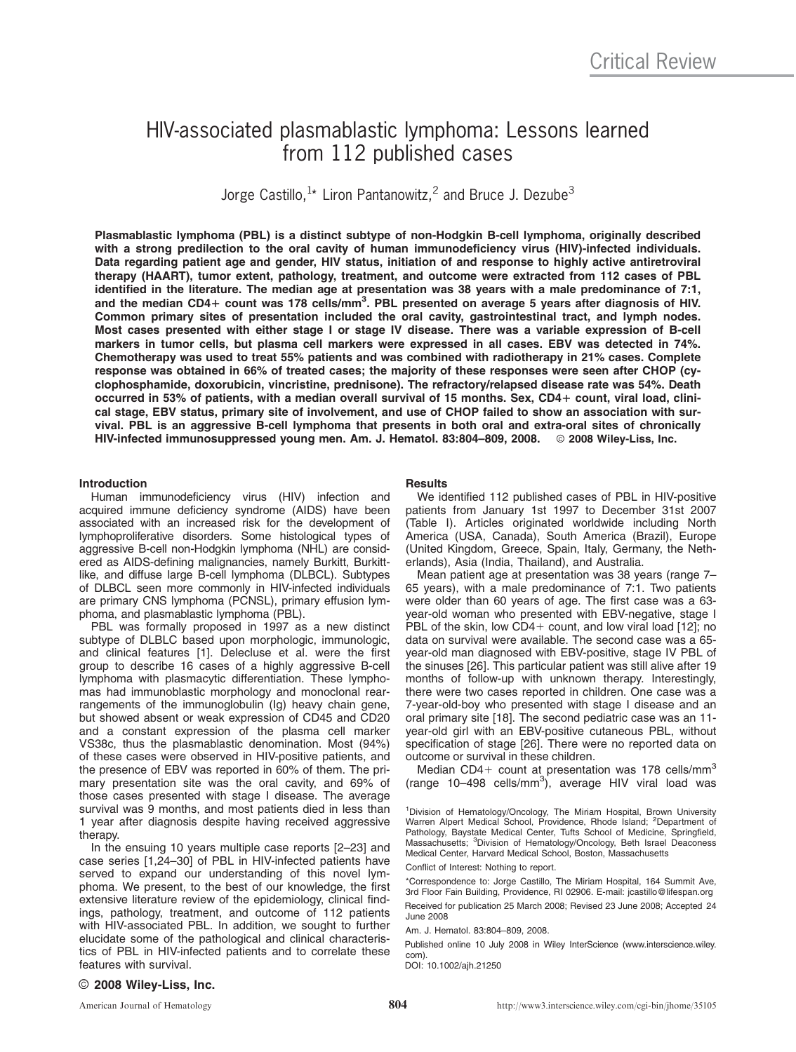# HIV-associated plasmablastic lymphoma: Lessons learned from 112 published cases

Jorge Castillo,  $1*$  Liron Pantanowitz,  $2$  and Bruce J. Dezube $3$ 

Plasmablastic lymphoma (PBL) is a distinct subtype of non-Hodgkin B-cell lymphoma, originally described with a strong predilection to the oral cavity of human immunodeficiency virus (HIV)-infected individuals. Data regarding patient age and gender, HIV status, initiation of and response to highly active antiretroviral therapy (HAART), tumor extent, pathology, treatment, and outcome were extracted from 112 cases of PBL identified in the literature. The median age at presentation was 38 years with a male predominance of 7:1, and the median CD4+ count was 178 cells/mm<sup>3</sup>. PBL presented on average 5 years after diagnosis of HIV. Common primary sites of presentation included the oral cavity, gastrointestinal tract, and lymph nodes. Most cases presented with either stage I or stage IV disease. There was a variable expression of B-cell markers in tumor cells, but plasma cell markers were expressed in all cases. EBV was detected in 74%. Chemotherapy was used to treat 55% patients and was combined with radiotherapy in 21% cases. Complete response was obtained in 66% of treated cases; the majority of these responses were seen after CHOP (cyclophosphamide, doxorubicin, vincristine, prednisone). The refractory/relapsed disease rate was 54%. Death occurred in 53% of patients, with a median overall survival of 15 months. Sex, CD4+ count, viral load, clinical stage, EBV status, primary site of involvement, and use of CHOP failed to show an association with survival. PBL is an aggressive B-cell lymphoma that presents in both oral and extra-oral sites of chronically HIV-infected immunosuppressed young men. Am. J. Hematol. 83:804-809, 2008. © 2008 Wiley-Liss, Inc.

# Introduction

Human immunodeficiency virus (HIV) infection and acquired immune deficiency syndrome (AIDS) have been associated with an increased risk for the development of lymphoproliferative disorders. Some histological types of aggressive B-cell non-Hodgkin lymphoma (NHL) are considered as AIDS-defining malignancies, namely Burkitt, Burkittlike, and diffuse large B-cell lymphoma (DLBCL). Subtypes of DLBCL seen more commonly in HIV-infected individuals are primary CNS lymphoma (PCNSL), primary effusion lymphoma, and plasmablastic lymphoma (PBL).

PBL was formally proposed in 1997 as a new distinct subtype of DLBLC based upon morphologic, immunologic, and clinical features [1]. Delecluse et al. were the first group to describe 16 cases of a highly aggressive B-cell lymphoma with plasmacytic differentiation. These lymphomas had immunoblastic morphology and monoclonal rearrangements of the immunoglobulin (Ig) heavy chain gene, but showed absent or weak expression of CD45 and CD20 and a constant expression of the plasma cell marker VS38c, thus the plasmablastic denomination. Most (94%) of these cases were observed in HIV-positive patients, and the presence of EBV was reported in 60% of them. The primary presentation site was the oral cavity, and 69% of those cases presented with stage I disease. The average survival was 9 months, and most patients died in less than 1 year after diagnosis despite having received aggressive therapy.

In the ensuing 10 years multiple case reports [2–23] and case series [1,24–30] of PBL in HIV-infected patients have served to expand our understanding of this novel lymphoma. We present, to the best of our knowledge, the first extensive literature review of the epidemiology, clinical findings, pathology, treatment, and outcome of 112 patients with HIV-associated PBL. In addition, we sought to further elucidate some of the pathological and clinical characteristics of PBL in HIV-infected patients and to correlate these features with survival.

# **Results**

We identified 112 published cases of PBL in HIV-positive patients from January 1st 1997 to December 31st 2007 (Table I). Articles originated worldwide including North America (USA, Canada), South America (Brazil), Europe (United Kingdom, Greece, Spain, Italy, Germany, the Netherlands), Asia (India, Thailand), and Australia.

Mean patient age at presentation was 38 years (range 7– 65 years), with a male predominance of 7:1. Two patients were older than 60 years of age. The first case was a 63 year-old woman who presented with EBV-negative, stage I PBL of the skin, low CD4+ count, and low viral load  $[12]$ ; no data on survival were available. The second case was a 65 year-old man diagnosed with EBV-positive, stage IV PBL of the sinuses [26]. This particular patient was still alive after 19 months of follow-up with unknown therapy. Interestingly, there were two cases reported in children. One case was a 7-year-old-boy who presented with stage I disease and an oral primary site [18]. The second pediatric case was an 11 year-old girl with an EBV-positive cutaneous PBL, without specification of stage [26]. There were no reported data on outcome or survival in these children.

Median CD4+ count at presentation was 178 cells/mm<sup>3</sup> (range 10-498 cells/mm<sup>3</sup>), average HIV viral load was

<sup>1</sup>Division of Hematology/Oncology, The Miriam Hospital, Brown University Warren Alpert Medical School, Providence, Rhode Island; <sup>2</sup>Department of Pathology, Baystate Medical Center, Tufts School of Medicine, Springfield, Massachusetts; <sup>3</sup> Division of Hematology/Oncology, Beth Israel Deaconess Medical Center, Harvard Medical School, Boston, Massachusetts

Conflict of Interest: Nothing to report.

\*Correspondence to: Jorge Castillo, The Miriam Hospital, 164 Summit Ave, 3rd Floor Fain Building, Providence, RI 02906. E-mail: jcastillo@lifespan.org Received for publication 25 March 2008; Revised 23 June 2008; Accepted 24

June 2008

Am. J. Hematol. 83:804–809, 2008.

Published online 10 July 2008 in Wiley InterScience (www.interscience.wiley. com).

DOI: 10.1002/ajh.21250

# $\odot$  2008 Wiley-Liss, Inc.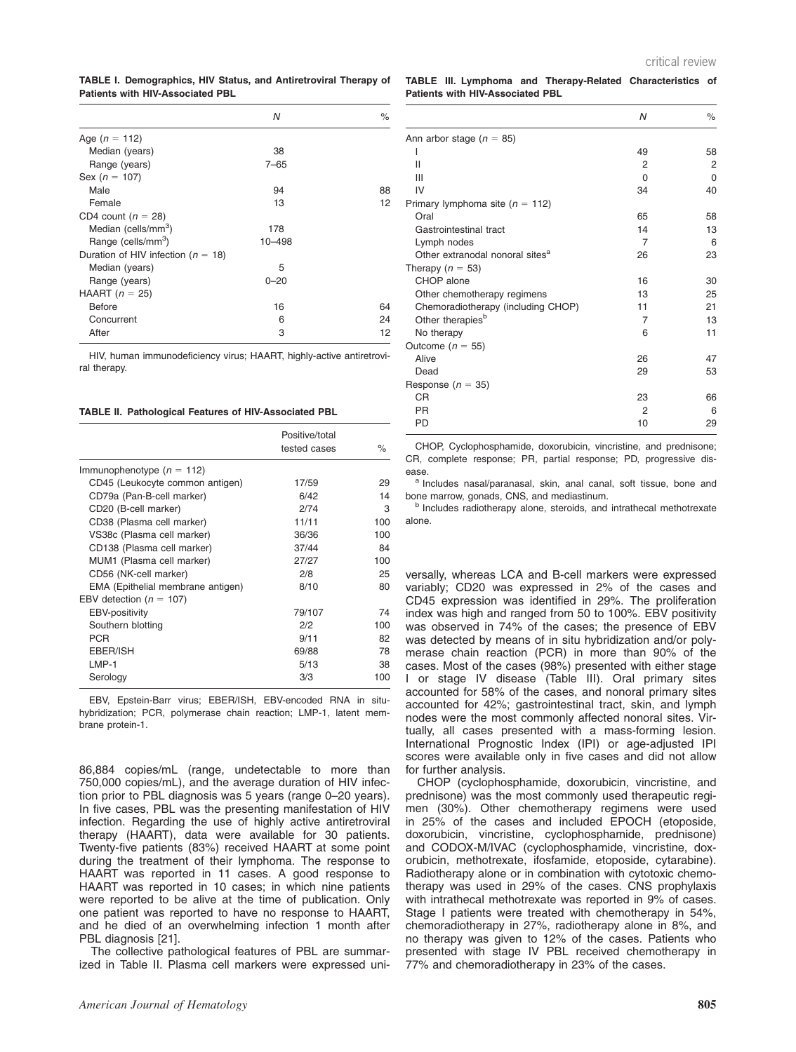TABLE I. Demographics, HIV Status, and Antiretroviral Therapy of Patients with HIV-Associated PBL

|                                        | Ν          | $\%$ |
|----------------------------------------|------------|------|
| Age $(n = 112)$                        |            |      |
| Median (years)                         | 38         |      |
| Range (years)                          | $7 - 65$   |      |
| Sex ( $n = 107$ )                      |            |      |
| Male                                   | 94         | 88   |
| Female                                 | 13         | 12   |
| CD4 count ( $n = 28$ )                 |            |      |
| Median (cells/mm <sup>3</sup> )        | 178        |      |
| Range (cells/mm <sup>3</sup> )         | $10 - 498$ |      |
| Duration of HIV infection ( $n = 18$ ) |            |      |
| Median (years)                         | 5          |      |
| Range (years)                          | $0 - 20$   |      |
| HAART $(n = 25)$                       |            |      |
| <b>Before</b>                          | 16         | 64   |
| Concurrent                             | 6          | 24   |
| After                                  | 3          | 12   |

HIV, human immunodeficiency virus; HAART, highly-active antiretroviral therapy.

TABLE II. Pathological Features of HIV-Associated PBL

|                                   | Positive/total<br>tested cases | $\frac{1}{2}$ |
|-----------------------------------|--------------------------------|---------------|
| Immunophenotype $(n = 112)$       |                                |               |
| CD45 (Leukocyte common antigen)   | 17/59                          | 29            |
| CD79a (Pan-B-cell marker)         | 6/42                           | 14            |
| CD20 (B-cell marker)              | 2/74                           | 3             |
| CD38 (Plasma cell marker)         | 11/11                          | 100           |
| VS38c (Plasma cell marker)        | 36/36                          | 100           |
| CD138 (Plasma cell marker)        | 37/44                          | 84            |
| MUM1 (Plasma cell marker)         | 27/27                          | 100           |
| CD56 (NK-cell marker)             | 2/8                            | 25            |
| EMA (Epithelial membrane antigen) | 8/10                           | 80            |
| EBV detection ( $n = 107$ )       |                                |               |
| <b>EBV-positivity</b>             | 79/107                         | 74            |
| Southern blotting                 | 2/2                            | 100           |
| <b>PCR</b>                        | 9/11                           | 82            |
| EBER/ISH                          | 69/88                          | 78            |
| $LMP-1$                           | 5/13                           | 38            |
| Serology                          | 3/3                            | 100           |

EBV, Epstein-Barr virus; EBER/ISH, EBV-encoded RNA in situhybridization; PCR, polymerase chain reaction; LMP-1, latent membrane protein-1.

86,884 copies/mL (range, undetectable to more than 750,000 copies/mL), and the average duration of HIV infection prior to PBL diagnosis was 5 years (range 0–20 years). In five cases, PBL was the presenting manifestation of HIV infection. Regarding the use of highly active antiretroviral therapy (HAART), data were available for 30 patients. Twenty-five patients (83%) received HAART at some point during the treatment of their lymphoma. The response to HAART was reported in 11 cases. A good response to HAART was reported in 10 cases; in which nine patients were reported to be alive at the time of publication. Only one patient was reported to have no response to HAART, and he died of an overwhelming infection 1 month after PBL diagnosis [21].

The collective pathological features of PBL are summarized in Table II. Plasma cell markers were expressed uniTABLE III. Lymphoma and Therapy-Related Characteristics of Patients with HIV-Associated PBL

|                                             | N              | $\%$ |
|---------------------------------------------|----------------|------|
| Ann arbor stage ( $n = 85$ )                |                |      |
| ı                                           | 49             | 58   |
| $\mathsf{II}$                               | 2              | 2    |
| Ш                                           | 0              | 0    |
| IV                                          | 34             | 40   |
| Primary lymphoma site ( $n = 112$ )         |                |      |
| Oral                                        | 65             | 58   |
| Gastrointestinal tract                      | 14             | 13   |
| Lymph nodes                                 | $\overline{7}$ | 6    |
| Other extranodal nonoral sites <sup>a</sup> | 26             | 23   |
| Therapy ( $n = 53$ )                        |                |      |
| CHOP alone                                  | 16             | 30   |
| Other chemotherapy regimens                 | 13             | 25   |
| Chemoradiotherapy (including CHOP)          | 11             | 21   |
| Other therapies <sup>b</sup>                | $\overline{7}$ | 13   |
| No therapy                                  | 6              | 11   |
| Outcome ( $n = 55$ )                        |                |      |
| Alive                                       | 26             | 47   |
| Dead                                        | 29             | 53   |
| Response ( $n = 35$ )                       |                |      |
| <b>CR</b>                                   | 23             | 66   |
| <b>PR</b>                                   | 2              | 6    |
| <b>PD</b>                                   | 10             | 29   |
|                                             |                |      |

CHOP, Cyclophosphamide, doxorubicin, vincristine, and prednisone; CR, complete response; PR, partial response; PD, progressive disease.

a Includes nasal/paranasal, skin, anal canal, soft tissue, bone and bone marrow, gonads, CNS, and mediastinum.

**b** Includes radiotherapy alone, steroids, and intrathecal methotrexate alone.

versally, whereas LCA and B-cell markers were expressed variably; CD20 was expressed in 2% of the cases and CD45 expression was identified in 29%. The proliferation index was high and ranged from 50 to 100%. EBV positivity was observed in 74% of the cases; the presence of EBV was detected by means of in situ hybridization and/or polymerase chain reaction (PCR) in more than 90% of the cases. Most of the cases (98%) presented with either stage I or stage IV disease (Table III). Oral primary sites accounted for 58% of the cases, and nonoral primary sites accounted for 42%; gastrointestinal tract, skin, and lymph nodes were the most commonly affected nonoral sites. Virtually, all cases presented with a mass-forming lesion. International Prognostic Index (IPI) or age-adjusted IPI scores were available only in five cases and did not allow for further analysis.

CHOP (cyclophosphamide, doxorubicin, vincristine, and prednisone) was the most commonly used therapeutic regimen (30%). Other chemotherapy regimens were used in 25% of the cases and included EPOCH (etoposide, doxorubicin, vincristine, cyclophosphamide, prednisone) and CODOX-M/IVAC (cyclophosphamide, vincristine, doxorubicin, methotrexate, ifosfamide, etoposide, cytarabine). Radiotherapy alone or in combination with cytotoxic chemotherapy was used in 29% of the cases. CNS prophylaxis with intrathecal methotrexate was reported in 9% of cases. Stage I patients were treated with chemotherapy in 54%, chemoradiotherapy in 27%, radiotherapy alone in 8%, and no therapy was given to 12% of the cases. Patients who presented with stage IV PBL received chemotherapy in 77% and chemoradiotherapy in 23% of the cases.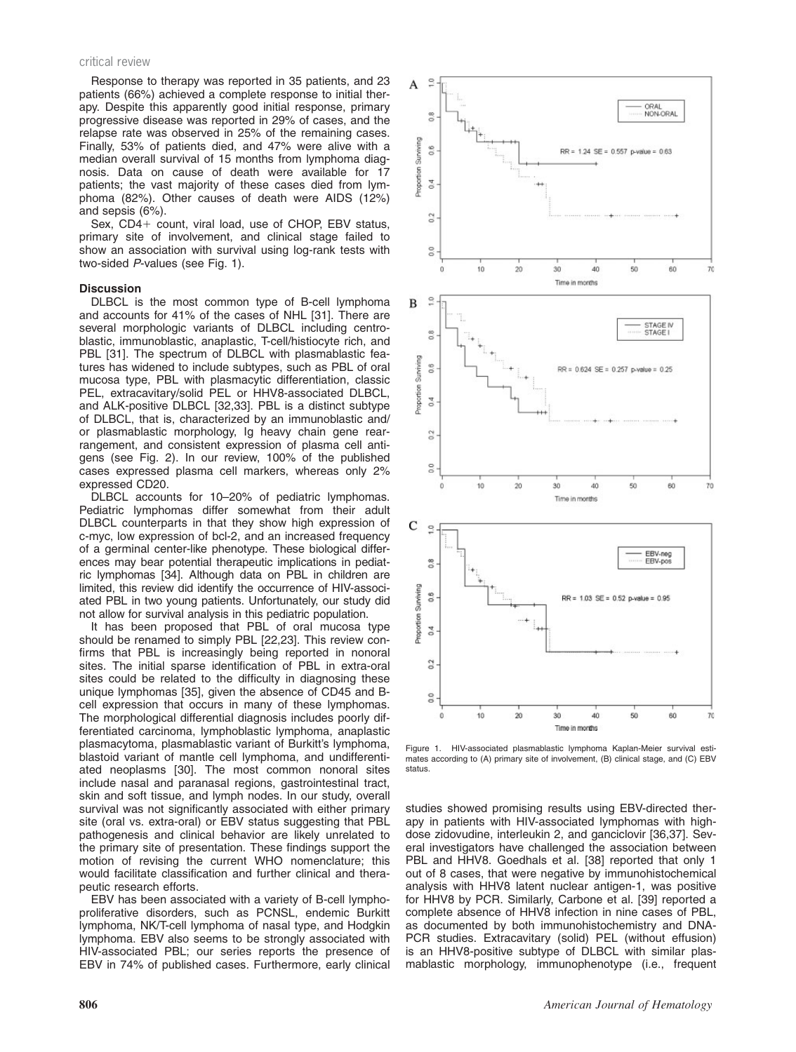#### critical review

Response to therapy was reported in 35 patients, and 23 patients (66%) achieved a complete response to initial therapy. Despite this apparently good initial response, primary progressive disease was reported in 29% of cases, and the relapse rate was observed in 25% of the remaining cases. Finally, 53% of patients died, and 47% were alive with a median overall survival of 15 months from lymphoma diagnosis. Data on cause of death were available for 17 patients; the vast majority of these cases died from lymphoma (82%). Other causes of death were AIDS (12%) and sepsis (6%).

Sex,  $CD4+$  count, viral load, use of CHOP, EBV status, primary site of involvement, and clinical stage failed to show an association with survival using log-rank tests with two-sided P-values (see Fig. 1).

#### **Discussion**

DLBCL is the most common type of B-cell lymphoma and accounts for 41% of the cases of NHL [31]. There are several morphologic variants of DLBCL including centroblastic, immunoblastic, anaplastic, T-cell/histiocyte rich, and PBL [31]. The spectrum of DLBCL with plasmablastic features has widened to include subtypes, such as PBL of oral mucosa type, PBL with plasmacytic differentiation, classic PEL, extracavitary/solid PEL or HHV8-associated DLBCL, and ALK-positive DLBCL [32,33]. PBL is a distinct subtype of DLBCL, that is, characterized by an immunoblastic and/ or plasmablastic morphology, Ig heavy chain gene rearrangement, and consistent expression of plasma cell antigens (see Fig. 2). In our review, 100% of the published cases expressed plasma cell markers, whereas only 2% expressed CD20.

DLBCL accounts for 10–20% of pediatric lymphomas. Pediatric lymphomas differ somewhat from their adult DLBCL counterparts in that they show high expression of c-myc, low expression of bcl-2, and an increased frequency of a germinal center-like phenotype. These biological differences may bear potential therapeutic implications in pediatric lymphomas [34]. Although data on PBL in children are limited, this review did identify the occurrence of HIV-associated PBL in two young patients. Unfortunately, our study did not allow for survival analysis in this pediatric population.

It has been proposed that PBL of oral mucosa type should be renamed to simply PBL [22,23]. This review confirms that PBL is increasingly being reported in nonoral sites. The initial sparse identification of PBL in extra-oral sites could be related to the difficulty in diagnosing these unique lymphomas [35], given the absence of CD45 and Bcell expression that occurs in many of these lymphomas. The morphological differential diagnosis includes poorly differentiated carcinoma, lymphoblastic lymphoma, anaplastic plasmacytoma, plasmablastic variant of Burkitt's lymphoma, blastoid variant of mantle cell lymphoma, and undifferentiated neoplasms [30]. The most common nonoral sites include nasal and paranasal regions, gastrointestinal tract, skin and soft tissue, and lymph nodes. In our study, overall survival was not significantly associated with either primary site (oral vs. extra-oral) or EBV status suggesting that PBL pathogenesis and clinical behavior are likely unrelated to the primary site of presentation. These findings support the motion of revising the current WHO nomenclature; this would facilitate classification and further clinical and therapeutic research efforts.

EBV has been associated with a variety of B-cell lymphoproliferative disorders, such as PCNSL, endemic Burkitt lymphoma, NK/T-cell lymphoma of nasal type, and Hodgkin lymphoma. EBV also seems to be strongly associated with HIV-associated PBL; our series reports the presence of EBV in 74% of published cases. Furthermore, early clinical



Figure 1. HIV-associated plasmablastic lymphoma Kaplan-Meier survival estimates according to (A) primary site of involvement, (B) clinical stage, and (C) EBV status.

studies showed promising results using EBV-directed therapy in patients with HIV-associated lymphomas with highdose zidovudine, interleukin 2, and ganciclovir [36,37]. Several investigators have challenged the association between PBL and HHV8. Goedhals et al. [38] reported that only 1 out of 8 cases, that were negative by immunohistochemical analysis with HHV8 latent nuclear antigen-1, was positive for HHV8 by PCR. Similarly, Carbone et al. [39] reported a complete absence of HHV8 infection in nine cases of PBL, as documented by both immunohistochemistry and DNA-PCR studies. Extracavitary (solid) PEL (without effusion) is an HHV8-positive subtype of DLBCL with similar plasmablastic morphology, immunophenotype (i.e., frequent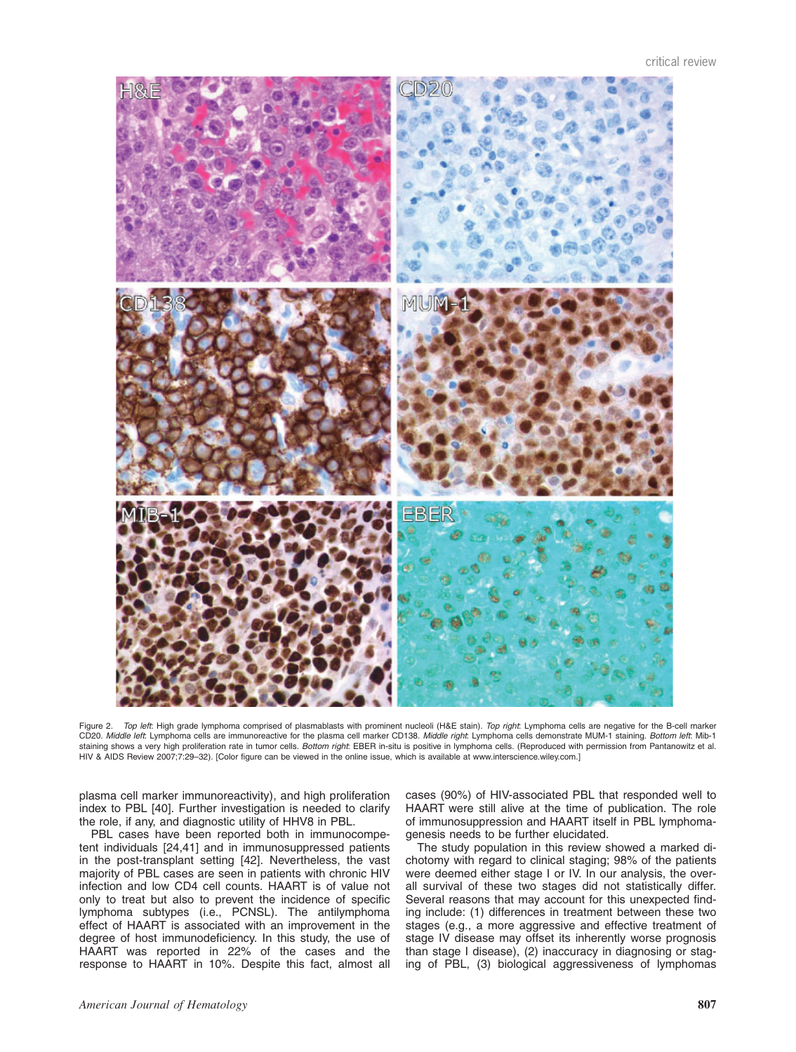

Figure 2. Top left: High grade lymphoma comprised of plasmablasts with prominent nucleoli (H&E stain). Top right: Lymphoma cells are negative for the B-cell marker CD20. Middle left: Lymphoma cells are immunoreactive for the plasma cell marker CD138. Middle right: Lymphoma cells demonstrate MUM-1 staining. Bottom left: Mib-1 staining shows a very high proliferation rate in tumor cells. Bottom right: EBER in-situ is positive in lymphoma cells. (Reproduced with permission from Pantanowitz et al. HIV & AIDS Review 2007;7:29–32). [Color figure can be viewed in the online issue, which is available at www.interscience.wiley.com.]

plasma cell marker immunoreactivity), and high proliferation index to PBL [40]. Further investigation is needed to clarify the role, if any, and diagnostic utility of HHV8 in PBL.

PBL cases have been reported both in immunocompetent individuals [24,41] and in immunosuppressed patients in the post-transplant setting [42]. Nevertheless, the vast majority of PBL cases are seen in patients with chronic HIV infection and low CD4 cell counts. HAART is of value not only to treat but also to prevent the incidence of specific lymphoma subtypes (i.e., PCNSL). The antilymphoma effect of HAART is associated with an improvement in the degree of host immunodeficiency. In this study, the use of HAART was reported in 22% of the cases and the response to HAART in 10%. Despite this fact, almost all

cases (90%) of HIV-associated PBL that responded well to HAART were still alive at the time of publication. The role of immunosuppression and HAART itself in PBL lymphomagenesis needs to be further elucidated.

The study population in this review showed a marked dichotomy with regard to clinical staging; 98% of the patients were deemed either stage I or IV. In our analysis, the overall survival of these two stages did not statistically differ. Several reasons that may account for this unexpected finding include: (1) differences in treatment between these two stages (e.g., a more aggressive and effective treatment of stage IV disease may offset its inherently worse prognosis than stage I disease), (2) inaccuracy in diagnosing or staging of PBL, (3) biological aggressiveness of lymphomas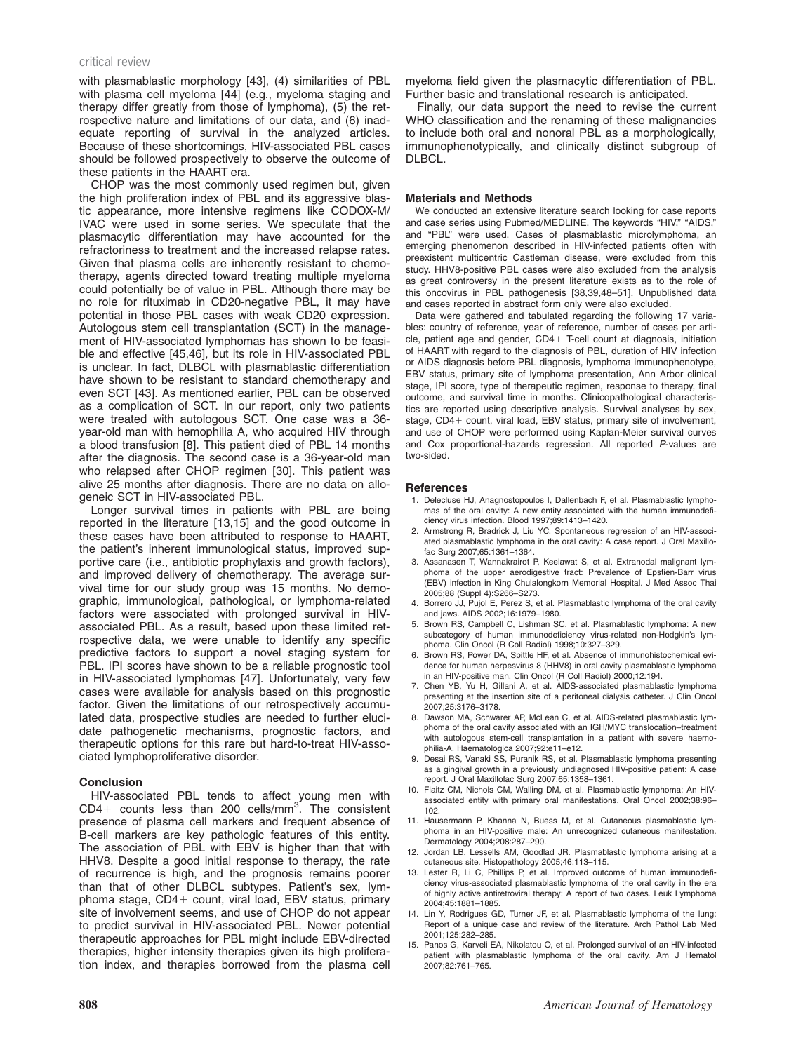#### critical review

with plasmablastic morphology [43], (4) similarities of PBL with plasma cell myeloma [44] (e.g., myeloma staging and therapy differ greatly from those of lymphoma), (5) the retrospective nature and limitations of our data, and (6) inadequate reporting of survival in the analyzed articles. Because of these shortcomings, HIV-associated PBL cases should be followed prospectively to observe the outcome of these patients in the HAART era.

CHOP was the most commonly used regimen but, given the high proliferation index of PBL and its aggressive blastic appearance, more intensive regimens like CODOX-M/ IVAC were used in some series. We speculate that the plasmacytic differentiation may have accounted for the refractoriness to treatment and the increased relapse rates. Given that plasma cells are inherently resistant to chemotherapy, agents directed toward treating multiple myeloma could potentially be of value in PBL. Although there may be no role for rituximab in CD20-negative PBL, it may have potential in those PBL cases with weak CD20 expression. Autologous stem cell transplantation (SCT) in the management of HIV-associated lymphomas has shown to be feasible and effective [45,46], but its role in HIV-associated PBL is unclear. In fact, DLBCL with plasmablastic differentiation have shown to be resistant to standard chemotherapy and even SCT [43]. As mentioned earlier, PBL can be observed as a complication of SCT. In our report, only two patients were treated with autologous SCT. One case was a 36 year-old man with hemophilia A, who acquired HIV through a blood transfusion [8]. This patient died of PBL 14 months after the diagnosis. The second case is a 36-year-old man who relapsed after CHOP regimen [30]. This patient was alive 25 months after diagnosis. There are no data on allogeneic SCT in HIV-associated PBL.

Longer survival times in patients with PBL are being reported in the literature [13,15] and the good outcome in these cases have been attributed to response to HAART, the patient's inherent immunological status, improved supportive care (i.e., antibiotic prophylaxis and growth factors), and improved delivery of chemotherapy. The average survival time for our study group was 15 months. No demographic, immunological, pathological, or lymphoma-related factors were associated with prolonged survival in HIVassociated PBL. As a result, based upon these limited retrospective data, we were unable to identify any specific predictive factors to support a novel staging system for PBL. IPI scores have shown to be a reliable prognostic tool in HIV-associated lymphomas [47]. Unfortunately, very few cases were available for analysis based on this prognostic factor. Given the limitations of our retrospectively accumulated data, prospective studies are needed to further elucidate pathogenetic mechanisms, prognostic factors, and therapeutic options for this rare but hard-to-treat HIV-associated lymphoproliferative disorder.

## Conclusion

HIV-associated PBL tends to affect young men with  $CD4+$  counts less than 200 cells/mm<sup>3</sup>. The consistent presence of plasma cell markers and frequent absence of B-cell markers are key pathologic features of this entity. The association of PBL with EBV is higher than that with HHV8. Despite a good initial response to therapy, the rate of recurrence is high, and the prognosis remains poorer than that of other DLBCL subtypes. Patient's sex, lymphoma stage, CD4+ count, viral load, EBV status, primary site of involvement seems, and use of CHOP do not appear to predict survival in HIV-associated PBL. Newer potential therapeutic approaches for PBL might include EBV-directed therapies, higher intensity therapies given its high proliferation index, and therapies borrowed from the plasma cell

myeloma field given the plasmacytic differentiation of PBL. Further basic and translational research is anticipated.

Finally, our data support the need to revise the current WHO classification and the renaming of these malignancies to include both oral and nonoral PBL as a morphologically, immunophenotypically, and clinically distinct subgroup of DLBCL.

## Materials and Methods

We conducted an extensive literature search looking for case reports and case series using Pubmed/MEDLINE. The keywords "HIV," "AIDS," and ''PBL'' were used. Cases of plasmablastic microlymphoma, an emerging phenomenon described in HIV-infected patients often with preexistent multicentric Castleman disease, were excluded from this study. HHV8-positive PBL cases were also excluded from the analysis as great controversy in the present literature exists as to the role of this oncovirus in PBL pathogenesis [38,39,48–51]. Unpublished data and cases reported in abstract form only were also excluded.

Data were gathered and tabulated regarding the following 17 variables: country of reference, year of reference, number of cases per article, patient age and gender, CD4+ T-cell count at diagnosis, initiation of HAART with regard to the diagnosis of PBL, duration of HIV infection or AIDS diagnosis before PBL diagnosis, lymphoma immunophenotype, EBV status, primary site of lymphoma presentation, Ann Arbor clinical stage, IPI score, type of therapeutic regimen, response to therapy, final outcome, and survival time in months. Clinicopathological characteristics are reported using descriptive analysis. Survival analyses by sex, stage, CD4+ count, viral load, EBV status, primary site of involvement, and use of CHOP were performed using Kaplan-Meier survival curves and Cox proportional-hazards regression. All reported P-values are two-sided.

# **References**

- 1. Delecluse HJ, Anagnostopoulos I, Dallenbach F, et al. Plasmablastic lymphomas of the oral cavity: A new entity associated with the human immunodeficiency virus infection. Blood 1997;89:1413–1420.
- 2. Armstrong R, Bradrick J, Liu YC. Spontaneous regression of an HIV-associated plasmablastic lymphoma in the oral cavity: A case report. J Oral Maxillofac Surg 2007;65:1361–1364.
- 3. Assanasen T, Wannakrairot P, Keelawat S, et al. Extranodal malignant lymphoma of the upper aerodigestive tract: Prevalence of Epstien-Barr virus (EBV) infection in King Chulalongkorn Memorial Hospital. J Med Assoc Thai 2005;88 (Suppl 4):S266–S273.
- 4. Borrero JJ, Pujol E, Perez S, et al. Plasmablastic lymphoma of the oral cavity and jaws. AIDS 2002;16:1979–1980.
- 5. Brown RS, Campbell C, Lishman SC, et al. Plasmablastic lymphoma: A new subcategory of human immunodeficiency virus-related non-Hodgkin's lymphoma. Clin Oncol (R Coll Radiol) 1998;10:327–329.
- 6. Brown RS, Power DA, Spittle HF, et al. Absence of immunohistochemical evidence for human herpesvirus 8 (HHV8) in oral cavity plasmablastic lymphoma in an HIV-positive man. Clin Oncol (R Coll Radiol) 2000;12:194.
- 7. Chen YB, Yu H, Gillani A, et al. AIDS-associated plasmablastic lymphoma presenting at the insertion site of a peritoneal dialysis catheter. J Clin Oncol 2007;25:3176–3178.
- 8. Dawson MA, Schwarer AP, McLean C, et al. AIDS-related plasmablastic lymphoma of the oral cavity associated with an IGH/MYC translocation–treatment with autologous stem-cell transplantation in a patient with severe haemophilia-A. Haematologica 2007;92:e11–e12.
- 9. Desai RS, Vanaki SS, Puranik RS, et al. Plasmablastic lymphoma presenting as a gingival growth in a previously undiagnosed HIV-positive patient: A case report. J Oral Maxillofac Surg 2007;65:1358–1361.
- 10. Flaitz CM, Nichols CM, Walling DM, et al. Plasmablastic lymphoma: An HIVassociated entity with primary oral manifestations. Oral Oncol 2002;38:96– 102.
- 11. Hausermann P, Khanna N, Buess M, et al. Cutaneous plasmablastic lymphoma in an HIV-positive male: An unrecognized cutaneous manifestation. Dermatology 2004;208:287–290.
- 12. Jordan LB, Lessells AM, Goodlad JR. Plasmablastic lymphoma arising at a cutaneous site. Histopathology 2005;46:113–115.
- 13. Lester R, Li C, Phillips P, et al. Improved outcome of human immunodeficiency virus-associated plasmablastic lymphoma of the oral cavity in the era of highly active antiretroviral therapy: A report of two cases. Leuk Lymphoma 2004;45:1881–1885.
- 14. Lin Y, Rodrigues GD, Turner JF, et al. Plasmablastic lymphoma of the lung: Report of a unique case and review of the literature. Arch Pathol Lab Med 2001;125:282–285.
- 15. Panos G, Karveli EA, Nikolatou O, et al. Prolonged survival of an HIV-infected patient with plasmablastic lymphoma of the oral cavity. Am J Hematol 2007;82:761–765.